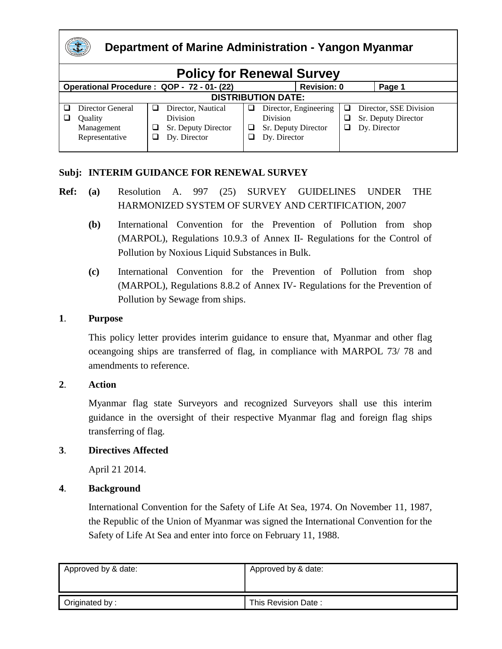

#### **Department of Marine Administration - Yangon Myanmar**

| <b>Policy for Renewal Survey</b>           |                                                             |  |                                                                              |  |                                                                          |        |  |                                                               |  |
|--------------------------------------------|-------------------------------------------------------------|--|------------------------------------------------------------------------------|--|--------------------------------------------------------------------------|--------|--|---------------------------------------------------------------|--|
| Operational Procedure: QOP - 72 - 01- (22) |                                                             |  |                                                                              |  | <b>Revision: 0</b>                                                       |        |  | Page 1                                                        |  |
| <b>DISTRIBUTION DATE:</b>                  |                                                             |  |                                                                              |  |                                                                          |        |  |                                                               |  |
|                                            | Director General<br>Quality<br>Management<br>Representative |  | Director, Nautical<br><b>Division</b><br>Sr. Deputy Director<br>Dy. Director |  | Director, Engineering<br>Division<br>Sr. Deputy Director<br>Dy. Director | ⊔<br>ப |  | Director, SSE Division<br>Sr. Deputy Director<br>Dy. Director |  |

#### **Subj: INTERIM GUIDANCE FOR RENEWAL SURVEY**

- **Ref: (a)** Resolution A. 997 (25) SURVEY GUIDELINES UNDER THE HARMONIZED SYSTEM OF SURVEY AND CERTIFICATION, 2007
	- **(b)** International Convention for the Prevention of Pollution from shop (MARPOL), Regulations 10.9.3 of Annex II- Regulations for the Control of Pollution by Noxious Liquid Substances in Bulk.
	- **(c)** International Convention for the Prevention of Pollution from shop (MARPOL), Regulations 8.8.2 of Annex IV- Regulations for the Prevention of Pollution by Sewage from ships.

#### **1**. **Purpose**

This policy letter provides interim guidance to ensure that, Myanmar and other flag oceangoing ships are transferred of flag, in compliance with MARPOL 73/ 78 and amendments to reference.

#### **2**. **Action**

Myanmar flag state Surveyors and recognized Surveyors shall use this interim guidance in the oversight of their respective Myanmar flag and foreign flag ships transferring of flag.

#### **3**. **Directives Affected**

April 21 2014.

#### **4**. **Background**

International Convention for the Safety of Life At Sea, 1974. On November 11, 1987, the Republic of the Union of Myanmar was signed the International Convention for the Safety of Life At Sea and enter into force on February 11, 1988.

| Approved by & date: | Approved by & date: |
|---------------------|---------------------|
|                     |                     |
| Originated by:      | This Revision Date: |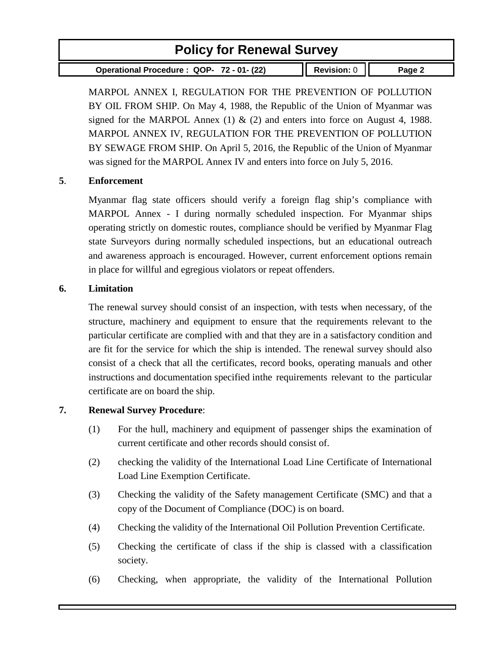**Operational Procedure : QOP- 72 - 01- (22) Revision:** 0 **Page 2**

MARPOL ANNEX I, REGULATION FOR THE PREVENTION OF POLLUTION BY OIL FROM SHIP. On May 4, 1988, the Republic of the Union of Myanmar was signed for the MARPOL Annex (1)  $\&$  (2) and enters into force on August 4, 1988. MARPOL ANNEX IV, REGULATION FOR THE PREVENTION OF POLLUTION BY SEWAGE FROM SHIP. On April 5, 2016, the Republic of the Union of Myanmar was signed for the MARPOL Annex IV and enters into force on July 5, 2016.

#### **5**. **Enforcement**

Myanmar flag state officers should verify a foreign flag ship's compliance with MARPOL Annex - I during normally scheduled inspection. For Myanmar ships operating strictly on domestic routes, compliance should be verified by Myanmar Flag state Surveyors during normally scheduled inspections, but an educational outreach and awareness approach is encouraged. However, current enforcement options remain in place for willful and egregious violators or repeat offenders.

#### **6. Limitation**

The renewal survey should consist of an inspection, with tests when necessary, of the structure, machinery and equipment to ensure that the requirements relevant to the particular certificate are complied with and that they are in a satisfactory condition and are fit for the service for which the ship is intended. The renewal survey should also consist of a check that all the certificates, record books, operating manuals and other instructions and documentation specified inthe requirements relevant to the particular certificate are on board the ship.

#### **7. Renewal Survey Procedure**:

- (1) For the hull, machinery and equipment of passenger ships the examination of current certificate and other records should consist of.
- (2) checking the validity of the International Load Line Certificate of International Load Line Exemption Certificate.
- (3) Checking the validity of the Safety management Certificate (SMC) and that a copy of the Document of Compliance (DOC) is on board.
- (4) Checking the validity of the International Oil Pollution Prevention Certificate.
- (5) Checking the certificate of class if the ship is classed with a classification society.
- (6) Checking, when appropriate, the validity of the International Pollution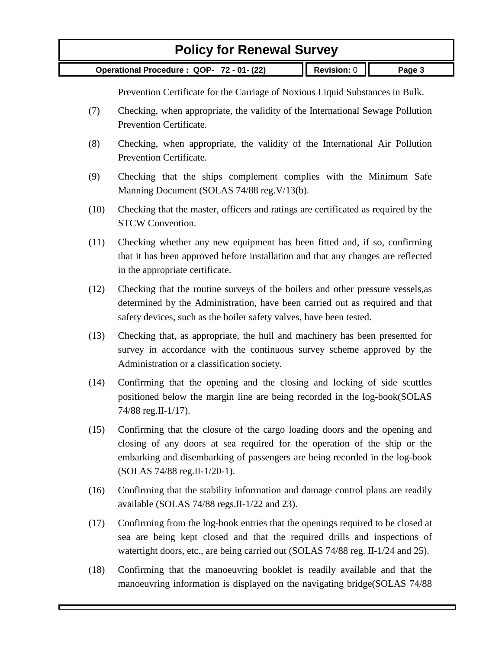**Operational Procedure : QOP- 72 - 01- (22) Revision:** 0 **Page 3**

Prevention Certificate for the Carriage of Noxious Liquid Substances in Bulk.

- (7) Checking, when appropriate, the validity of the International Sewage Pollution Prevention Certificate.
- (8) Checking, when appropriate, the validity of the International Air Pollution Prevention Certificate.
- (9) Checking that the ships complement complies with the Minimum Safe Manning Document (SOLAS 74/88 reg.V/13(b).
- (10) Checking that the master, officers and ratings are certificated as required by the STCW Convention.
- (11) Checking whether any new equipment has been fitted and, if so, confirming that it has been approved before installation and that any changes are reflected in the appropriate certificate.
- (12) Checking that the routine surveys of the boilers and other pressure vessels,as determined by the Administration, have been carried out as required and that safety devices, such as the boiler safety valves, have been tested.
- (13) Checking that, as appropriate, the hull and machinery has been presented for survey in accordance with the continuous survey scheme approved by the Administration or a classification society.
- (14) Confirming that the opening and the closing and locking of side scuttles positioned below the margin line are being recorded in the log-book(SOLAS 74/88 reg.II-1/17).
- (15) Confirming that the closure of the cargo loading doors and the opening and closing of any doors at sea required for the operation of the ship or the embarking and disembarking of passengers are being recorded in the log-book (SOLAS 74/88 reg.II-1/20-1).
- (16) Confirming that the stability information and damage control plans are readily available (SOLAS 74/88 regs.II-1/22 and 23).
- (17) Confirming from the log-book entries that the openings required to be closed at sea are being kept closed and that the required drills and inspections of watertight doors, etc., are being carried out (SOLAS 74/88 reg. II-1/24 and 25).
- (18) Confirming that the manoeuvring booklet is readily available and that the manoeuvring information is displayed on the navigating bridge(SOLAS 74/88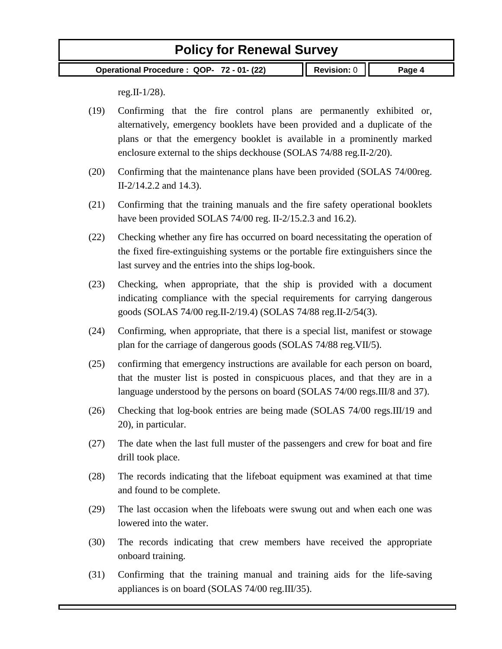**Operational Procedure : QOP- 72 - 01- (22) Revision:** 0 **Page 4**

reg. II- $1/28$ ).

(19) Confirming that the fire control plans are permanently exhibited or, alternatively, emergency booklets have been provided and a duplicate of the plans or that the emergency booklet is available in a prominently marked enclosure external to the ships deckhouse (SOLAS 74/88 reg.II-2/20).

- (20) Confirming that the maintenance plans have been provided (SOLAS 74/00reg. II-2/14.2.2 and 14.3).
- (21) Confirming that the training manuals and the fire safety operational booklets have been provided SOLAS 74/00 reg. II-2/15.2.3 and 16.2).
- (22) Checking whether any fire has occurred on board necessitating the operation of the fixed fire-extinguishing systems or the portable fire extinguishers since the last survey and the entries into the ships log-book.
- (23) Checking, when appropriate, that the ship is provided with a document indicating compliance with the special requirements for carrying dangerous goods (SOLAS 74/00 reg.II-2/19.4) (SOLAS 74/88 reg.II-2/54(3).
- (24) Confirming, when appropriate, that there is a special list, manifest or stowage plan for the carriage of dangerous goods (SOLAS 74/88 reg.VII/5).
- (25) confirming that emergency instructions are available for each person on board, that the muster list is posted in conspicuous places, and that they are in a language understood by the persons on board (SOLAS 74/00 regs.III/8 and 37).
- (26) Checking that log-book entries are being made (SOLAS 74/00 regs.III/19 and 20), in particular.
- (27) The date when the last full muster of the passengers and crew for boat and fire drill took place.
- (28) The records indicating that the lifeboat equipment was examined at that time and found to be complete.
- (29) The last occasion when the lifeboats were swung out and when each one was lowered into the water.
- (30) The records indicating that crew members have received the appropriate onboard training.
- (31) Confirming that the training manual and training aids for the life-saving appliances is on board (SOLAS 74/00 reg.III/35).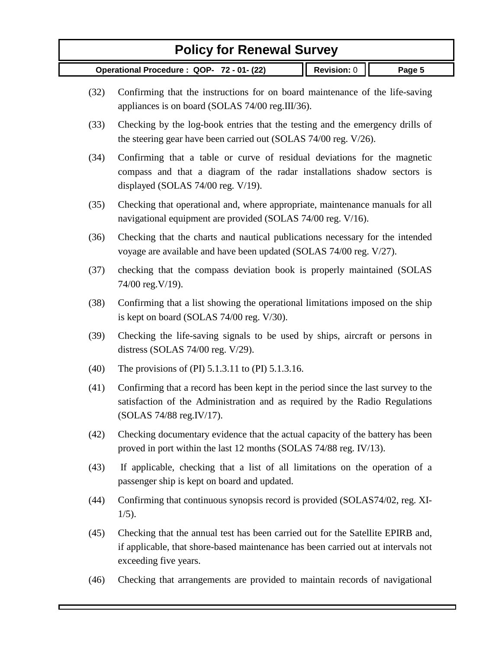- (32) Confirming that the instructions for on board maintenance of the life-saving appliances is on board (SOLAS 74/00 reg.III/36).
- (33) Checking by the log-book entries that the testing and the emergency drills of the steering gear have been carried out (SOLAS 74/00 reg. V/26).
- (34) Confirming that a table or curve of residual deviations for the magnetic compass and that a diagram of the radar installations shadow sectors is displayed (SOLAS 74/00 reg. V/19).
- (35) Checking that operational and, where appropriate, maintenance manuals for all navigational equipment are provided (SOLAS 74/00 reg. V/16).
- (36) Checking that the charts and nautical publications necessary for the intended voyage are available and have been updated (SOLAS 74/00 reg. V/27).
- (37) checking that the compass deviation book is properly maintained (SOLAS 74/00 reg.V/19).
- (38) Confirming that a list showing the operational limitations imposed on the ship is kept on board (SOLAS 74/00 reg. V/30).
- (39) Checking the life-saving signals to be used by ships, aircraft or persons in distress (SOLAS 74/00 reg. V/29).
- (40) The provisions of (PI) 5.1.3.11 to (PI) 5.1.3.16.
- (41) Confirming that a record has been kept in the period since the last survey to the satisfaction of the Administration and as required by the Radio Regulations (SOLAS 74/88 reg.IV/17).
- (42) Checking documentary evidence that the actual capacity of the battery has been proved in port within the last 12 months (SOLAS 74/88 reg. IV/13).
- (43) If applicable, checking that a list of all limitations on the operation of a passenger ship is kept on board and updated.
- (44) Confirming that continuous synopsis record is provided (SOLAS74/02, reg. XI-1/5).
- (45) Checking that the annual test has been carried out for the Satellite EPIRB and, if applicable, that shore-based maintenance has been carried out at intervals not exceeding five years.
- (46) Checking that arrangements are provided to maintain records of navigational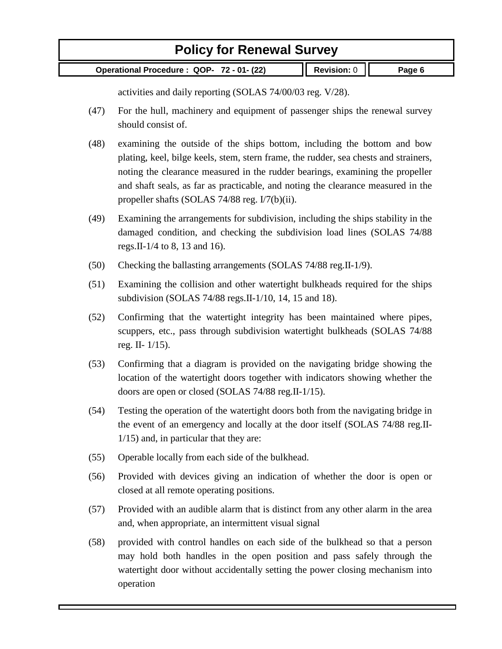**Operational Procedure : QOP- 72 - 01- (22) Revision:** 0 **Page 6**

activities and daily reporting (SOLAS 74/00/03 reg. V/28).

- (47) For the hull, machinery and equipment of passenger ships the renewal survey should consist of.
- (48) examining the outside of the ships bottom, including the bottom and bow plating, keel, bilge keels, stem, stern frame, the rudder, sea chests and strainers, noting the clearance measured in the rudder bearings, examining the propeller and shaft seals, as far as practicable, and noting the clearance measured in the propeller shafts (SOLAS 74/88 reg. I/7(b)(ii).
- (49) Examining the arrangements for subdivision, including the ships stability in the damaged condition, and checking the subdivision load lines (SOLAS 74/88 regs.II-1/4 to 8, 13 and 16).
- (50) Checking the ballasting arrangements (SOLAS 74/88 reg.II-1/9).
- (51) Examining the collision and other watertight bulkheads required for the ships subdivision (SOLAS 74/88 regs.II-1/10, 14, 15 and 18).
- (52) Confirming that the watertight integrity has been maintained where pipes, scuppers, etc., pass through subdivision watertight bulkheads (SOLAS 74/88 reg. II- 1/15).
- (53) Confirming that a diagram is provided on the navigating bridge showing the location of the watertight doors together with indicators showing whether the doors are open or closed (SOLAS 74/88 reg.II-1/15).
- (54) Testing the operation of the watertight doors both from the navigating bridge in the event of an emergency and locally at the door itself (SOLAS 74/88 reg.II-1/15) and, in particular that they are:
- (55) Operable locally from each side of the bulkhead.
- (56) Provided with devices giving an indication of whether the door is open or closed at all remote operating positions.
- (57) Provided with an audible alarm that is distinct from any other alarm in the area and, when appropriate, an intermittent visual signal
- (58) provided with control handles on each side of the bulkhead so that a person may hold both handles in the open position and pass safely through the watertight door without accidentally setting the power closing mechanism into operation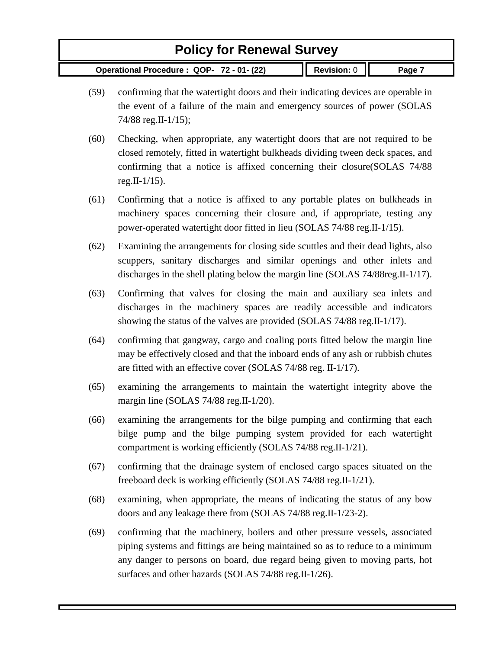- (59) confirming that the watertight doors and their indicating devices are operable in the event of a failure of the main and emergency sources of power (SOLAS 74/88 reg.II-1/15);
- (60) Checking, when appropriate, any watertight doors that are not required to be closed remotely, fitted in watertight bulkheads dividing tween deck spaces, and confirming that a notice is affixed concerning their closure(SOLAS 74/88 reg. II- $1/15$ ).
- (61) Confirming that a notice is affixed to any portable plates on bulkheads in machinery spaces concerning their closure and, if appropriate, testing any power-operated watertight door fitted in lieu (SOLAS 74/88 reg.II-1/15).
- (62) Examining the arrangements for closing side scuttles and their dead lights, also scuppers, sanitary discharges and similar openings and other inlets and discharges in the shell plating below the margin line (SOLAS 74/88reg.II-1/17).
- (63) Confirming that valves for closing the main and auxiliary sea inlets and discharges in the machinery spaces are readily accessible and indicators showing the status of the valves are provided (SOLAS 74/88 reg.II-1/17).
- (64) confirming that gangway, cargo and coaling ports fitted below the margin line may be effectively closed and that the inboard ends of any ash or rubbish chutes are fitted with an effective cover (SOLAS 74/88 reg. II-1/17).
- (65) examining the arrangements to maintain the watertight integrity above the margin line (SOLAS 74/88 reg.II-1/20).
- (66) examining the arrangements for the bilge pumping and confirming that each bilge pump and the bilge pumping system provided for each watertight compartment is working efficiently (SOLAS 74/88 reg.II-1/21).
- (67) confirming that the drainage system of enclosed cargo spaces situated on the freeboard deck is working efficiently (SOLAS 74/88 reg.II-1/21).
- (68) examining, when appropriate, the means of indicating the status of any bow doors and any leakage there from (SOLAS 74/88 reg.II-1/23-2).
- (69) confirming that the machinery, boilers and other pressure vessels, associated piping systems and fittings are being maintained so as to reduce to a minimum any danger to persons on board, due regard being given to moving parts, hot surfaces and other hazards (SOLAS 74/88 reg.II-1/26).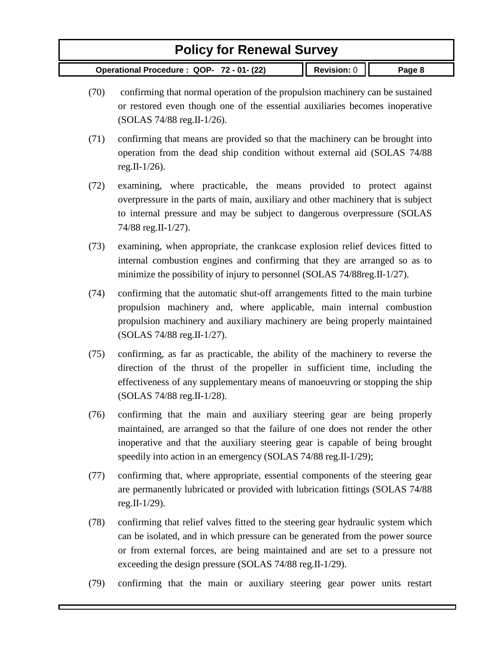- (70) confirming that normal operation of the propulsion machinery can be sustained or restored even though one of the essential auxiliaries becomes inoperative (SOLAS 74/88 reg.II-1/26).
- (71) confirming that means are provided so that the machinery can be brought into operation from the dead ship condition without external aid (SOLAS 74/88 reg.II-1/26).
- (72) examining, where practicable, the means provided to protect against overpressure in the parts of main, auxiliary and other machinery that is subject to internal pressure and may be subject to dangerous overpressure (SOLAS 74/88 reg.II-1/27).
- (73) examining, when appropriate, the crankcase explosion relief devices fitted to internal combustion engines and confirming that they are arranged so as to minimize the possibility of injury to personnel (SOLAS 74/88reg.II-1/27).
- (74) confirming that the automatic shut-off arrangements fitted to the main turbine propulsion machinery and, where applicable, main internal combustion propulsion machinery and auxiliary machinery are being properly maintained (SOLAS 74/88 reg.II-1/27).
- (75) confirming, as far as practicable, the ability of the machinery to reverse the direction of the thrust of the propeller in sufficient time, including the effectiveness of any supplementary means of manoeuvring or stopping the ship (SOLAS 74/88 reg.II-1/28).
- (76) confirming that the main and auxiliary steering gear are being properly maintained, are arranged so that the failure of one does not render the other inoperative and that the auxiliary steering gear is capable of being brought speedily into action in an emergency (SOLAS 74/88 reg.II-1/29);
- (77) confirming that, where appropriate, essential components of the steering gear are permanently lubricated or provided with lubrication fittings (SOLAS 74/88 reg.II-1/29).
- (78) confirming that relief valves fitted to the steering gear hydraulic system which can be isolated, and in which pressure can be generated from the power source or from external forces, are being maintained and are set to a pressure not exceeding the design pressure (SOLAS 74/88 reg.II-1/29).
- (79) confirming that the main or auxiliary steering gear power units restart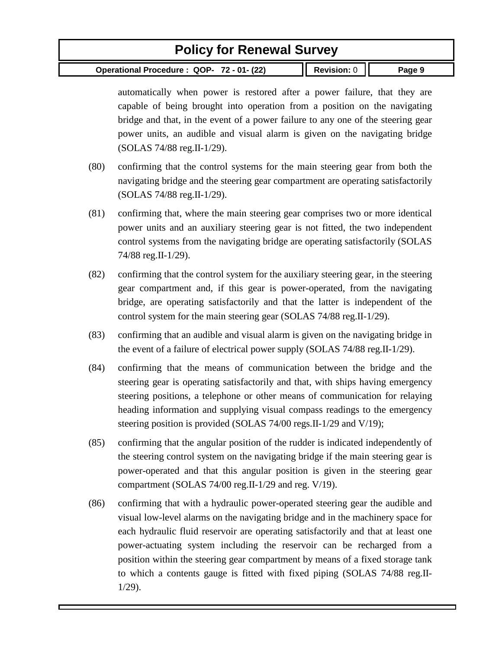**Operational Procedure : QOP- 72 - 01- (22) Revision:** 0 **Page 9**

automatically when power is restored after a power failure, that they are capable of being brought into operation from a position on the navigating bridge and that, in the event of a power failure to any one of the steering gear power units, an audible and visual alarm is given on the navigating bridge (SOLAS 74/88 reg.II-1/29).

- (80) confirming that the control systems for the main steering gear from both the navigating bridge and the steering gear compartment are operating satisfactorily (SOLAS 74/88 reg.II-1/29).
- (81) confirming that, where the main steering gear comprises two or more identical power units and an auxiliary steering gear is not fitted, the two independent control systems from the navigating bridge are operating satisfactorily (SOLAS 74/88 reg.II-1/29).
- (82) confirming that the control system for the auxiliary steering gear, in the steering gear compartment and, if this gear is power-operated, from the navigating bridge, are operating satisfactorily and that the latter is independent of the control system for the main steering gear (SOLAS 74/88 reg.II-1/29).
- (83) confirming that an audible and visual alarm is given on the navigating bridge in the event of a failure of electrical power supply (SOLAS 74/88 reg.II-1/29).
- (84) confirming that the means of communication between the bridge and the steering gear is operating satisfactorily and that, with ships having emergency steering positions, a telephone or other means of communication for relaying heading information and supplying visual compass readings to the emergency steering position is provided (SOLAS 74/00 regs.II-1/29 and V/19);
- (85) confirming that the angular position of the rudder is indicated independently of the steering control system on the navigating bridge if the main steering gear is power-operated and that this angular position is given in the steering gear compartment (SOLAS 74/00 reg.II-1/29 and reg. V/19).
- (86) confirming that with a hydraulic power-operated steering gear the audible and visual low-level alarms on the navigating bridge and in the machinery space for each hydraulic fluid reservoir are operating satisfactorily and that at least one power-actuating system including the reservoir can be recharged from a position within the steering gear compartment by means of a fixed storage tank to which a contents gauge is fitted with fixed piping (SOLAS 74/88 reg.II-1/29).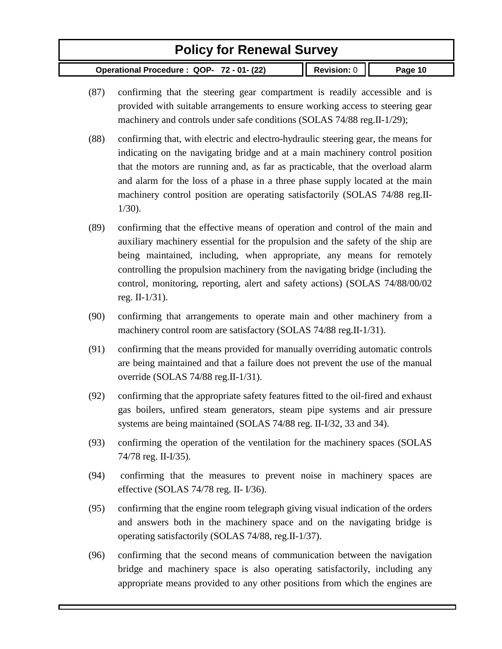- (87) confirming that the steering gear compartment is readily accessible and is provided with suitable arrangements to ensure working access to steering gear machinery and controls under safe conditions (SOLAS 74/88 reg.II-1/29);
- (88) confirming that, with electric and electro-hydraulic steering gear, the means for indicating on the navigating bridge and at a main machinery control position that the motors are running and, as far as practicable, that the overload alarm and alarm for the loss of a phase in a three phase supply located at the main machinery control position are operating satisfactorily (SOLAS 74/88 reg.II-1/30).
- (89) confirming that the effective means of operation and control of the main and auxiliary machinery essential for the propulsion and the safety of the ship are being maintained, including, when appropriate, any means for remotely controlling the propulsion machinery from the navigating bridge (including the control, monitoring, reporting, alert and safety actions) (SOLAS 74/88/00/02 reg. II-1/31).
- (90) confirming that arrangements to operate main and other machinery from a machinery control room are satisfactory (SOLAS 74/88 reg.II-1/31).
- (91) confirming that the means provided for manually overriding automatic controls are being maintained and that a failure does not prevent the use of the manual override (SOLAS 74/88 reg.II-1/31).
- (92) confirming that the appropriate safety features fitted to the oil-fired and exhaust gas boilers, unfired steam generators, steam pipe systems and air pressure systems are being maintained (SOLAS 74/88 reg. II-I/32, 33 and 34).
- (93) confirming the operation of the ventilation for the machinery spaces (SOLAS 74/78 reg. II-I/35).
- (94) confirming that the measures to prevent noise in machinery spaces are effective (SOLAS 74/78 reg. II- I/36).
- (95) confirming that the engine room telegraph giving visual indication of the orders and answers both in the machinery space and on the navigating bridge is operating satisfactorily (SOLAS 74/88, reg.II-1/37).
- (96) confirming that the second means of communication between the navigation bridge and machinery space is also operating satisfactorily, including any appropriate means provided to any other positions from which the engines are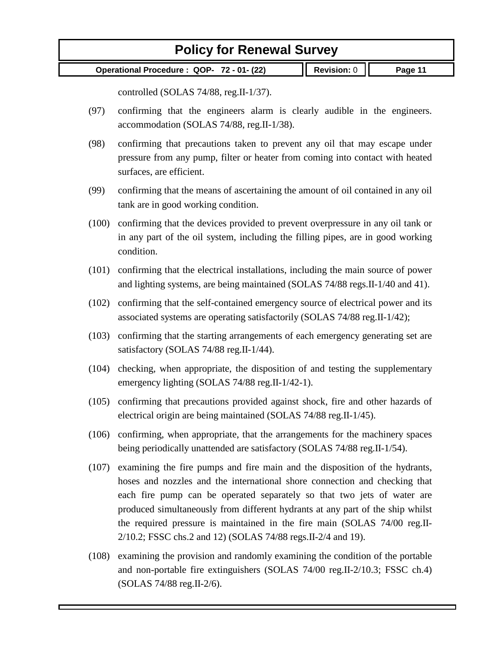**Operational Procedure : QOP- 72 - 01- (22) Revision:** 0 **Page 11**

controlled (SOLAS 74/88, reg.II-1/37).

- (97) confirming that the engineers alarm is clearly audible in the engineers. accommodation (SOLAS 74/88, reg.II-1/38).
- (98) confirming that precautions taken to prevent any oil that may escape under pressure from any pump, filter or heater from coming into contact with heated surfaces, are efficient.
- (99) confirming that the means of ascertaining the amount of oil contained in any oil tank are in good working condition.
- (100) confirming that the devices provided to prevent overpressure in any oil tank or in any part of the oil system, including the filling pipes, are in good working condition.
- (101) confirming that the electrical installations, including the main source of power and lighting systems, are being maintained (SOLAS 74/88 regs.II-1/40 and 41).
- (102) confirming that the self-contained emergency source of electrical power and its associated systems are operating satisfactorily (SOLAS 74/88 reg.II-1/42);
- (103) confirming that the starting arrangements of each emergency generating set are satisfactory (SOLAS 74/88 reg.II-1/44).
- (104) checking, when appropriate, the disposition of and testing the supplementary emergency lighting (SOLAS 74/88 reg.II-1/42-1).
- (105) confirming that precautions provided against shock, fire and other hazards of electrical origin are being maintained (SOLAS 74/88 reg.II-1/45).
- (106) confirming, when appropriate, that the arrangements for the machinery spaces being periodically unattended are satisfactory (SOLAS 74/88 reg.II-1/54).
- (107) examining the fire pumps and fire main and the disposition of the hydrants, hoses and nozzles and the international shore connection and checking that each fire pump can be operated separately so that two jets of water are produced simultaneously from different hydrants at any part of the ship whilst the required pressure is maintained in the fire main (SOLAS 74/00 reg.II-2/10.2; FSSC chs.2 and 12) (SOLAS 74/88 regs.II-2/4 and 19).
- (108) examining the provision and randomly examining the condition of the portable and non-portable fire extinguishers (SOLAS 74/00 reg.II-2/10.3; FSSC ch.4) (SOLAS 74/88 reg.II-2/6).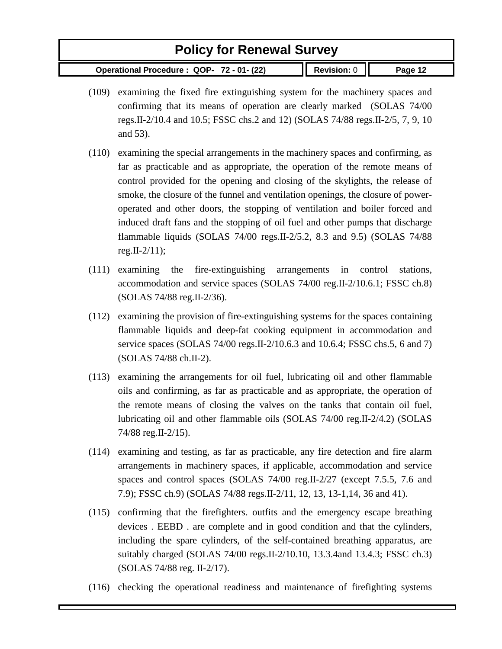- (109) examining the fixed fire extinguishing system for the machinery spaces and confirming that its means of operation are clearly marked (SOLAS 74/00 regs.II-2/10.4 and 10.5; FSSC chs.2 and 12) (SOLAS 74/88 regs.II-2/5, 7, 9, 10 and 53).
- (110) examining the special arrangements in the machinery spaces and confirming, as far as practicable and as appropriate, the operation of the remote means of control provided for the opening and closing of the skylights, the release of smoke, the closure of the funnel and ventilation openings, the closure of poweroperated and other doors, the stopping of ventilation and boiler forced and induced draft fans and the stopping of oil fuel and other pumps that discharge flammable liquids (SOLAS 74/00 regs.II-2/5.2, 8.3 and 9.5) (SOLAS 74/88 reg.  $II - 2/11$ ;
- (111) examining the fire-extinguishing arrangements in control stations, accommodation and service spaces (SOLAS 74/00 reg.II-2/10.6.1; FSSC ch.8) (SOLAS 74/88 reg.II-2/36).
- (112) examining the provision of fire-extinguishing systems for the spaces containing flammable liquids and deep-fat cooking equipment in accommodation and service spaces (SOLAS 74/00 regs.II-2/10.6.3 and 10.6.4; FSSC chs.5, 6 and 7) (SOLAS 74/88 ch.II-2).
- (113) examining the arrangements for oil fuel, lubricating oil and other flammable oils and confirming, as far as practicable and as appropriate, the operation of the remote means of closing the valves on the tanks that contain oil fuel, lubricating oil and other flammable oils (SOLAS 74/00 reg.II-2/4.2) (SOLAS 74/88 reg.II-2/15).
- (114) examining and testing, as far as practicable, any fire detection and fire alarm arrangements in machinery spaces, if applicable, accommodation and service spaces and control spaces (SOLAS 74/00 reg.II-2/27 (except 7.5.5, 7.6 and 7.9); FSSC ch.9) (SOLAS 74/88 regs.II-2/11, 12, 13, 13-1,14, 36 and 41).
- (115) confirming that the firefighters. outfits and the emergency escape breathing devices . EEBD . are complete and in good condition and that the cylinders, including the spare cylinders, of the self-contained breathing apparatus, are suitably charged (SOLAS 74/00 regs.II-2/10.10, 13.3.4and 13.4.3; FSSC ch.3) (SOLAS 74/88 reg. II-2/17).
- (116) checking the operational readiness and maintenance of firefighting systems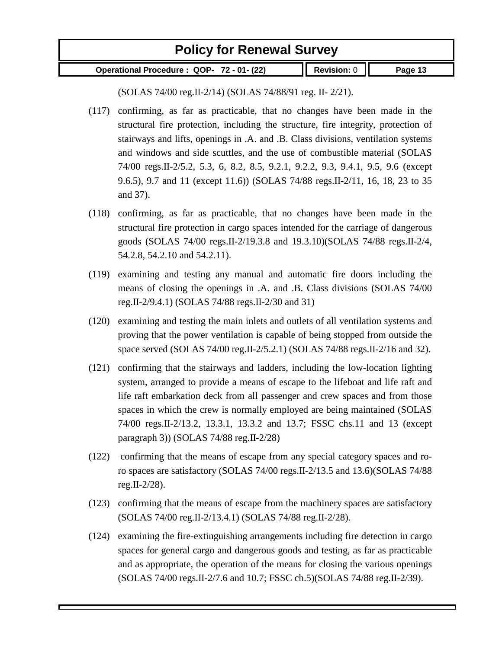**Operational Procedure : QOP- 72 - 01- (22) Revision:** 0 **Page 13**

(SOLAS 74/00 reg.II-2/14) (SOLAS 74/88/91 reg. II- 2/21).

- (117) confirming, as far as practicable, that no changes have been made in the structural fire protection, including the structure, fire integrity, protection of stairways and lifts, openings in .A. and .B. Class divisions, ventilation systems and windows and side scuttles, and the use of combustible material (SOLAS 74/00 regs.II-2/5.2, 5.3, 6, 8.2, 8.5, 9.2.1, 9.2.2, 9.3, 9.4.1, 9.5, 9.6 (except 9.6.5), 9.7 and 11 (except 11.6)) (SOLAS 74/88 regs.II-2/11, 16, 18, 23 to 35 and 37).
- (118) confirming, as far as practicable, that no changes have been made in the structural fire protection in cargo spaces intended for the carriage of dangerous goods (SOLAS 74/00 regs.II-2/19.3.8 and 19.3.10)(SOLAS 74/88 regs.II-2/4, 54.2.8, 54.2.10 and 54.2.11).
- (119) examining and testing any manual and automatic fire doors including the means of closing the openings in .A. and .B. Class divisions (SOLAS 74/00 reg.II-2/9.4.1) (SOLAS 74/88 regs.II-2/30 and 31)
- (120) examining and testing the main inlets and outlets of all ventilation systems and proving that the power ventilation is capable of being stopped from outside the space served (SOLAS 74/00 reg.II-2/5.2.1) (SOLAS 74/88 regs.II-2/16 and 32).
- (121) confirming that the stairways and ladders, including the low-location lighting system, arranged to provide a means of escape to the lifeboat and life raft and life raft embarkation deck from all passenger and crew spaces and from those spaces in which the crew is normally employed are being maintained (SOLAS 74/00 regs.II-2/13.2, 13.3.1, 13.3.2 and 13.7; FSSC chs.11 and 13 (except paragraph 3)) (SOLAS 74/88 reg.II-2/28)
- (122) confirming that the means of escape from any special category spaces and roro spaces are satisfactory (SOLAS 74/00 regs.II-2/13.5 and 13.6)(SOLAS 74/88 reg.II-2/28).
- (123) confirming that the means of escape from the machinery spaces are satisfactory (SOLAS 74/00 reg.II-2/13.4.1) (SOLAS 74/88 reg.II-2/28).
- (124) examining the fire-extinguishing arrangements including fire detection in cargo spaces for general cargo and dangerous goods and testing, as far as practicable and as appropriate, the operation of the means for closing the various openings (SOLAS 74/00 regs.II-2/7.6 and 10.7; FSSC ch.5)(SOLAS 74/88 reg.II-2/39).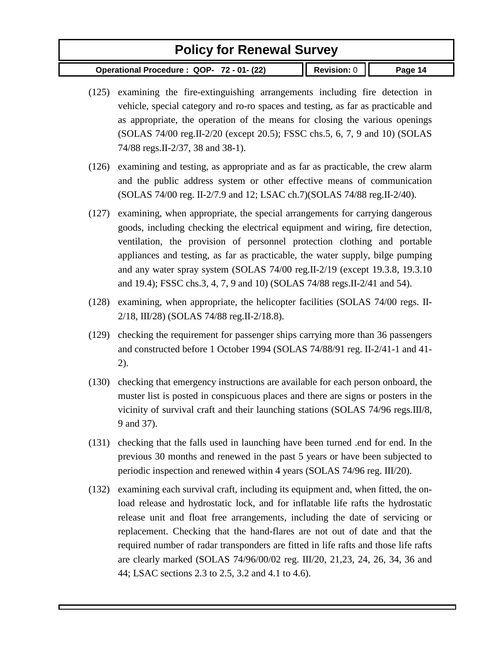- (125) examining the fire-extinguishing arrangements including fire detection in vehicle, special category and ro-ro spaces and testing, as far as practicable and as appropriate, the operation of the means for closing the various openings (SOLAS 74/00 reg.II-2/20 (except 20.5); FSSC chs.5, 6, 7, 9 and 10) (SOLAS 74/88 regs.II-2/37, 38 and 38-1).
- (126) examining and testing, as appropriate and as far as practicable, the crew alarm and the public address system or other effective means of communication (SOLAS 74/00 reg. II-2/7.9 and 12; LSAC ch.7)(SOLAS 74/88 reg.II-2/40).
- (127) examining, when appropriate, the special arrangements for carrying dangerous goods, including checking the electrical equipment and wiring, fire detection, ventilation, the provision of personnel protection clothing and portable appliances and testing, as far as practicable, the water supply, bilge pumping and any water spray system (SOLAS 74/00 reg.II-2/19 (except 19.3.8, 19.3.10 and 19.4); FSSC chs.3, 4, 7, 9 and 10) (SOLAS 74/88 regs.II-2/41 and 54).
- (128) examining, when appropriate, the helicopter facilities (SOLAS 74/00 regs. II-2/18, III/28) (SOLAS 74/88 reg.II-2/18.8).
- (129) checking the requirement for passenger ships carrying more than 36 passengers and constructed before 1 October 1994 (SOLAS 74/88/91 reg. II-2/41-1 and 41- 2).
- (130) checking that emergency instructions are available for each person onboard, the muster list is posted in conspicuous places and there are signs or posters in the vicinity of survival craft and their launching stations (SOLAS 74/96 regs.III/8, 9 and 37).
- (131) checking that the falls used in launching have been turned .end for end. In the previous 30 months and renewed in the past 5 years or have been subjected to periodic inspection and renewed within 4 years (SOLAS 74/96 reg. III/20).
- (132) examining each survival craft, including its equipment and, when fitted, the onload release and hydrostatic lock, and for inflatable life rafts the hydrostatic release unit and float free arrangements, including the date of servicing or replacement. Checking that the hand-flares are not out of date and that the required number of radar transponders are fitted in life rafts and those life rafts are clearly marked (SOLAS 74/96/00/02 reg. III/20, 21,23, 24, 26, 34, 36 and 44; LSAC sections 2.3 to 2.5, 3.2 and 4.1 to 4.6).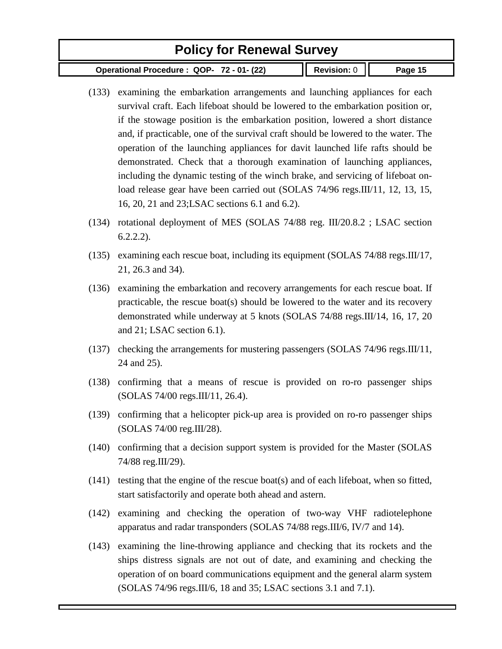- (133) examining the embarkation arrangements and launching appliances for each survival craft. Each lifeboat should be lowered to the embarkation position or, if the stowage position is the embarkation position, lowered a short distance and, if practicable, one of the survival craft should be lowered to the water. The operation of the launching appliances for davit launched life rafts should be demonstrated. Check that a thorough examination of launching appliances, including the dynamic testing of the winch brake, and servicing of lifeboat onload release gear have been carried out (SOLAS 74/96 regs.III/11, 12, 13, 15, 16, 20, 21 and 23;LSAC sections 6.1 and 6.2).
- (134) rotational deployment of MES (SOLAS 74/88 reg. III/20.8.2 ; LSAC section 6.2.2.2).
- (135) examining each rescue boat, including its equipment (SOLAS 74/88 regs.III/17, 21, 26.3 and 34).
- (136) examining the embarkation and recovery arrangements for each rescue boat. If practicable, the rescue boat(s) should be lowered to the water and its recovery demonstrated while underway at 5 knots (SOLAS 74/88 regs.III/14, 16, 17, 20 and 21; LSAC section 6.1).
- (137) checking the arrangements for mustering passengers (SOLAS 74/96 regs.III/11, 24 and 25).
- (138) confirming that a means of rescue is provided on ro-ro passenger ships (SOLAS 74/00 regs.III/11, 26.4).
- (139) confirming that a helicopter pick-up area is provided on ro-ro passenger ships (SOLAS 74/00 reg.III/28).
- (140) confirming that a decision support system is provided for the Master (SOLAS 74/88 reg.III/29).
- (141) testing that the engine of the rescue boat(s) and of each lifeboat, when so fitted, start satisfactorily and operate both ahead and astern.
- (142) examining and checking the operation of two-way VHF radiotelephone apparatus and radar transponders (SOLAS 74/88 regs.III/6, IV/7 and 14).
- (143) examining the line-throwing appliance and checking that its rockets and the ships distress signals are not out of date, and examining and checking the operation of on board communications equipment and the general alarm system (SOLAS 74/96 regs.III/6, 18 and 35; LSAC sections 3.1 and 7.1).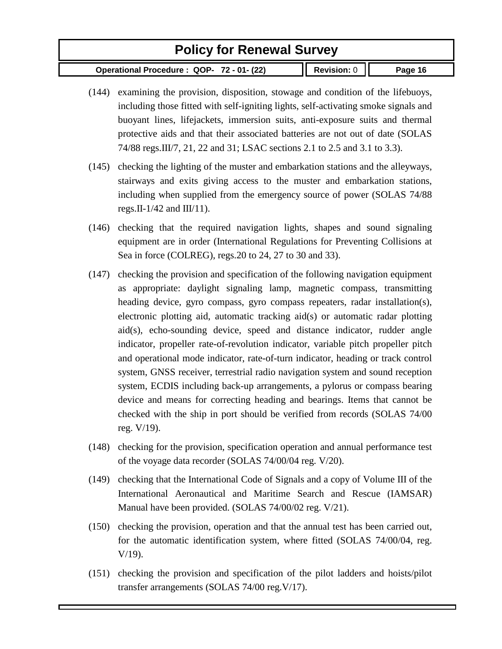- (144) examining the provision, disposition, stowage and condition of the lifebuoys, including those fitted with self-igniting lights, self-activating smoke signals and buoyant lines, lifejackets, immersion suits, anti-exposure suits and thermal protective aids and that their associated batteries are not out of date (SOLAS 74/88 regs.III/7, 21, 22 and 31; LSAC sections 2.1 to 2.5 and 3.1 to 3.3).
- (145) checking the lighting of the muster and embarkation stations and the alleyways, stairways and exits giving access to the muster and embarkation stations, including when supplied from the emergency source of power (SOLAS 74/88 regs. II-1/42 and III/11).
- (146) checking that the required navigation lights, shapes and sound signaling equipment are in order (International Regulations for Preventing Collisions at Sea in force (COLREG), regs.20 to 24, 27 to 30 and 33).
- (147) checking the provision and specification of the following navigation equipment as appropriate: daylight signaling lamp, magnetic compass, transmitting heading device, gyro compass, gyro compass repeaters, radar installation(s), electronic plotting aid, automatic tracking aid(s) or automatic radar plotting aid(s), echo-sounding device, speed and distance indicator, rudder angle indicator, propeller rate-of-revolution indicator, variable pitch propeller pitch and operational mode indicator, rate-of-turn indicator, heading or track control system, GNSS receiver, terrestrial radio navigation system and sound reception system, ECDIS including back-up arrangements, a pylorus or compass bearing device and means for correcting heading and bearings. Items that cannot be checked with the ship in port should be verified from records (SOLAS 74/00 reg. V/19).
- (148) checking for the provision, specification operation and annual performance test of the voyage data recorder (SOLAS 74/00/04 reg. V/20).
- (149) checking that the International Code of Signals and a copy of Volume III of the International Aeronautical and Maritime Search and Rescue (IAMSAR) Manual have been provided. (SOLAS 74/00/02 reg. V/21).
- (150) checking the provision, operation and that the annual test has been carried out, for the automatic identification system, where fitted (SOLAS 74/00/04, reg. V/19).
- (151) checking the provision and specification of the pilot ladders and hoists/pilot transfer arrangements (SOLAS 74/00 reg.V/17).